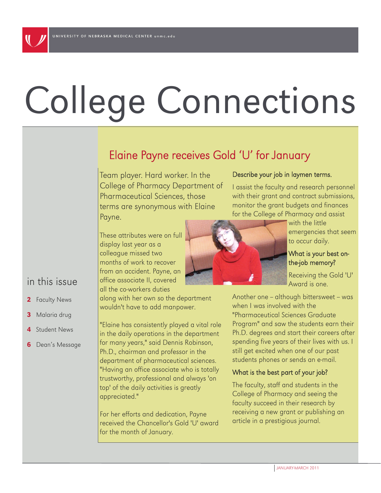# College Connections

# Elaine Payne receives Gold 'U' for January

Team player. Hard worker. In the College of Pharmacy Department of Pharmaceutical Sciences, those terms are synonymous with Elaine Payne.

### Describe your job in laymen terms.

I assist the faculty and research personnel with their grant and contract submissions, monitor the grant budgets and finances for the College of Pharmacy and assist

These attributes were on full display last year as a colleague missed two months of work to recover from an accident. Payne, an office associate II, covered all the co-workers duties

along with her own so the department wouldn't have to add manpower.

"Elaine has consistently played a vital role in the daily operations in the department for many years," said Dennis Robinson, Ph.D., chairman and professor in the department of pharmaceutical sciences. "Having an office associate who is totally trustworthy, professional and always 'on top' of the daily activities is greatly appreciated."

For her efforts and dedication, Payne received the Chancellor's Gold 'U' award for the month of January.



with the little

Receiving the Gold 'U' Award is one.

Another one -- although bittersweet -- was when I was involved with the "Pharmaceutical Sciences Graduate Program" and saw the students earn their Ph.D. degrees and start their careers after spending five years of their lives with us. I still get excited when one of our past students phones or sends an e-mail.

### What is the best part of your job?

The faculty, staff and students in the College of Pharmacy and seeing the faculty succeed in their research by receiving a new grant or publishing an article in a prestigious journal.

## in this issue

- 2 Faculty News
- 3 Malaria drug
- **Student News**
- **6** Dean's Message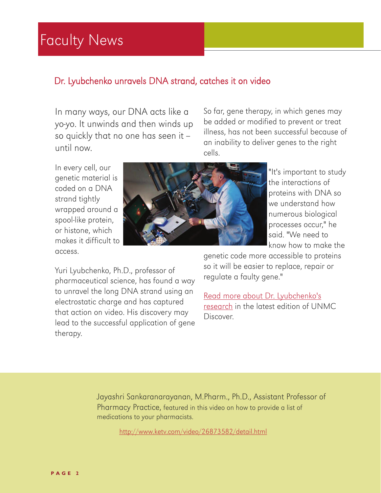# Faculty News

## Dr. Lyubchenko unravels DNA strand, catches it on video

In many ways, our DNA acts like a yo-yo. It unwinds and then winds up so quickly that no one has seen it until now.

So far, gene therapy, in which genes may be added or modified to prevent or treat illness, has not been successful because of an inability to deliver genes to the right cells.

In every cell, our genetic material is coded on a DNA strand tightly wrapped around a spool-like protein, or histone, which makes it difficult to access.



"It's important to study the interactions of proteins with DNA so we understand how numerous biological processes occur," he said. "We need to know how to make the

Yuri Lyubchenko, Ph.D., professor of pharmaceutical science, has found a way to unravel the long DNA strand using an electrostatic charge and has captured that action on video. His discovery may lead to the successful application of gene therapy.

genetic code more accessible to proteins so it will be easier to replace, repair or regulate a faulty gene."

[Read more about Dr. Lyubchenko's](http://www.unmc.edu/discover/)  [research](http://www.unmc.edu/discover/) in the latest edition of UNMC Discover.

Jayashri Sankaranarayanan, M.Pharm., Ph.D., Assistant Professor of Pharmacy Practice, featured in this video on how to provide a list of medications to your pharmacists.

<http://www.ketv.com/video/26873582/detail.html>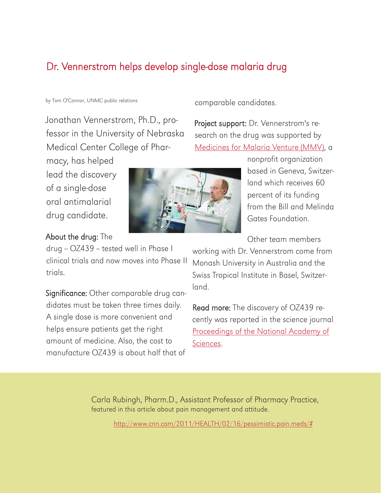# Dr. Vennerstrom helps develop single-dose malaria drug

#### by Tom O'Connor, UNMC public relations

Jonathan Vennerstrom, Ph.D., professor in the University of Nebraska Medical Center College of Phar-

macy, has helped lead the discovery of a single-dose oral antimalarial drug candidate.

## About the drug: The

drug - OZ439 - tested well in Phase I clinical trials and now moves into Phase II trials.

Significance: Other comparable drug candidates must be taken three times daily. A single dose is more convenient and helps ensure patients get the right amount of medicine. Also, the cost to manufacture OZ439 is about half that of



comparable candidates.

Project support: Dr. Vennerstrom's research on the drug was supported by [Medicines for Malaria Venture \(MMV\)](http://www.mmv.org/), a

> nonprofit organization based in Geneva, Switzerland which receives 60 percent of its funding from the Bill and Melinda Gates Foundation.

Other team members

working with Dr. Vennerstrom come from Monash University in Australia and the Swiss Tropical Institute in Basel, Switzerland.

Read more: The discovery of OZ439 recently was reported in the science journal [Proceedings of the National Academy of](http://www.pnas.org/content/early/2011/02/02/1015762108.full.pdf+html?sid=e0f3d212-dc88-4254-ba18-69fb39443bf9)  [Sciences](http://www.pnas.org/content/early/2011/02/02/1015762108.full.pdf+html?sid=e0f3d212-dc88-4254-ba18-69fb39443bf9).

Carla Rubingh, Pharm.D., Assistant Professor of Pharmacy Practice, featured in this article about pain management and attitude.

[http://www.cnn.com/2011/HEALTH/02/16/pessimistic.pain.meds/#](http://www.cnn.com/2011/HEALTH/02/16/pessimistic.pain.meds/#H:\CCWin9)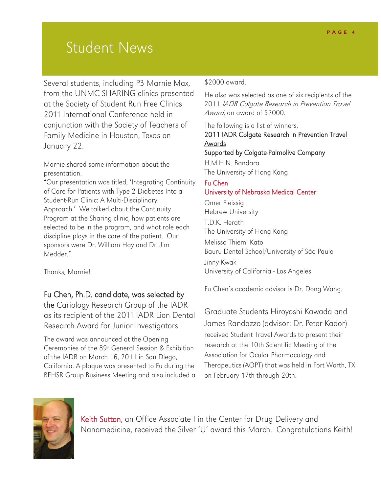# Student News

Several students, including P3 Marnie Max, from the UNMC SHARING clinics presented at the Society of Student Run Free Clinics 2011 International Conference held in conjunction with the Society of Teachers of Family Medicine in Houston, Texas on January 22.

Marnie shared some information about the presentation.

"Our presentation was titled, 'Integrating Continuity of Care for Patients with Type 2 Diabetes Into a Student-Run Clinic: A Multi-Disciplinary Approach.' We talked about the Continuity Program at the Sharing clinic, how patients are selected to be in the program, and what role each discipline plays in the care of the patient. Our sponsors were Dr. William Hay and Dr. Jim Medder."

Thanks, Marnie!

## Fu Chen, Ph.D. candidate, was selected by

the Cariology Research Group of the IADR as its recipient of the 2011 IADR Lion Dental Research Award for Junior Investigators.

The award was announced at the Opening Ceremonies of the  $89<sup>th</sup>$  General Session & Exhibition of the IADR on March 16, 2011 in San Diego, California. A plaque was presented to Fu during the BEHSR Group Business Meeting and also included a

## \$2000 award.

He also was selected as one of six recipients of the 2011 IADR Colgate Research in Prevention Travel Award, an award of \$2000.

The following is a list of winners.

## 2011 IADR Colgate Research in Prevention Travel Awards

Supported by Colgate-Palmolive Company H.M.H.N. Bandara

The University of Hong Kong

## Fu Chen University of Nebraska Medical Center

Omer Fleissig Hebrew University T.D.K. Herath The University of Hong Kong Melissa Thiemi Kato Bauru Dental School/University of São Paulo Jinny Kwak University of California - Los Angeles

Fu Chen's academic advisor is Dr. Dong Wang.

Graduate Students Hiroyoshi Kawada and James Randazzo (advisor: Dr. Peter Kador) received Student Travel Awards to present their research at the 10th Scientific Meeting of the Association for Ocular Pharmacology and Therapeutics (AOPT) that was held in Fort Worth, TX on February 17th through 20th.



Keith Sutton, an Office Associate I in the Center for Drug Delivery and Nanomedicine, received the Silver 'U' award this March. Congratulations Keith!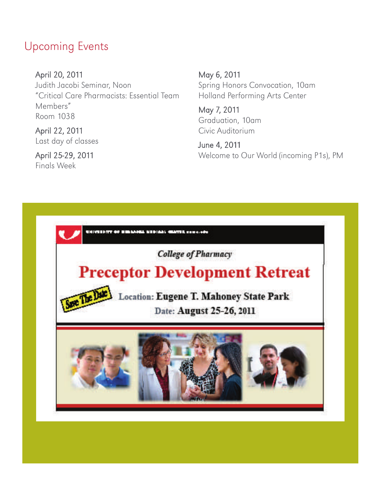# Upcoming Events

April 20, 2011 Judith Jacobi Seminar, Noon "Critical Care Pharmacists: Essential Team Members" Room 1038

April 22, 2011 Last day of classes

April 25-29, 2011 Finals Week

May 6, 2011 Spring Honors Convocation, 10am Holland Performing Arts Center

May 7, 2011 Graduation, 10am Civic Auditorium

June 4, 2011 Welcome to Our World (incoming P1s), PM